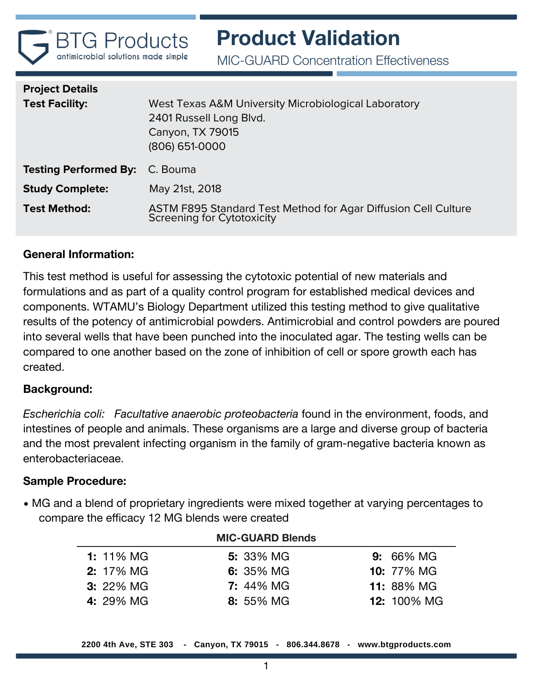

MIC-GUARD Concentration Effectiveness

| <b>Project Details</b><br><b>Test Facility:</b> | West Texas A&M University Microbiological Laboratory<br>2401 Russell Long Blvd.<br>Canyon, TX 79015<br>(806) 651-0000 |
|-------------------------------------------------|-----------------------------------------------------------------------------------------------------------------------|
| <b>Testing Performed By:</b> C. Bouma           |                                                                                                                       |
| <b>Study Complete:</b>                          | May 21st, 2018                                                                                                        |
| <b>Test Method:</b>                             | ASTM F895 Standard Test Method for Agar Diffusion Cell Culture<br><b>Screening for Cytotoxicity</b>                   |

# **General Information:**

This test method is useful for assessing the cytotoxic potential of new materials and formulations and as part of a quality control program for established medical devices and components. WTAMU's Biology Department utilized this testing method to give qualitative results of the potency of antimicrobial powders. Antimicrobial and control powders are poured into several wells that have been punched into the inoculated agar. The testing wells can be compared to one another based on the zone of inhibition of cell or spore growth each has created.

# **Background:**

*Escherichia coli: Facultative anaerobic proteobacteria* found in the environment, foods, and intestines of people and animals. These organisms are a large and diverse group of bacteria and the most prevalent infecting organism in the family of gram-negative bacteria known as enterobacteriaceae.

#### **Sample Procedure:**

• MG and a blend of proprietary ingredients were mixed together at varying percentages to compare the efficacy 12 MG blends were created

|                  | <b>MIC-GUARD Blends</b> |                    |
|------------------|-------------------------|--------------------|
| <b>1:</b> 11% MG | <b>5:</b> 33% MG        | <b>9:</b> 66% MG   |
| <b>2:</b> 17% MG | 6: 35% MG               | <b>10:</b> 77% MG  |
| <b>3:</b> 22% MG | <b>7: 44% MG</b>        | <b>11: 88% MG</b>  |
| 4: 29% MG        | 8: 55% MG               | <b>12:</b> 100% MG |

**2200 4th Ave, STE 303 - Canyon, TX 79015 - 806.344.8678 - www.btgproducts.com**